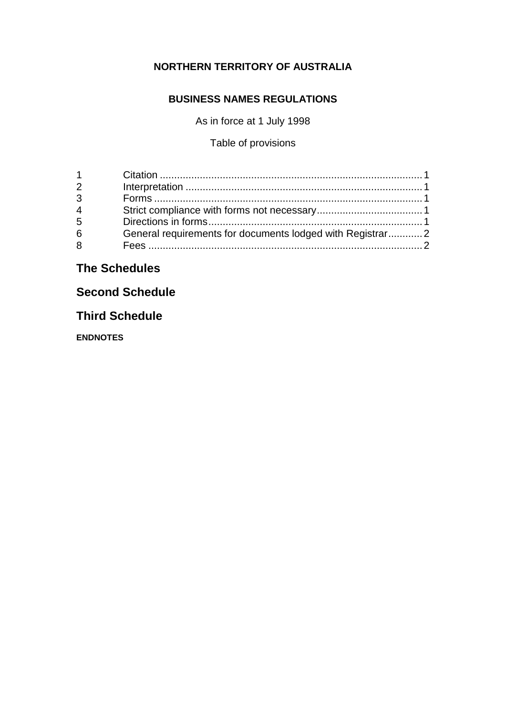## **NORTHERN TERRITORY OF AUSTRALIA**

## **BUSINESS NAMES REGULATIONS**

As in force at 1 July 1998

Table of provisions

# **The Schedules**

# **Second Schedule**

# **Third Schedule**

**ENDNOTES**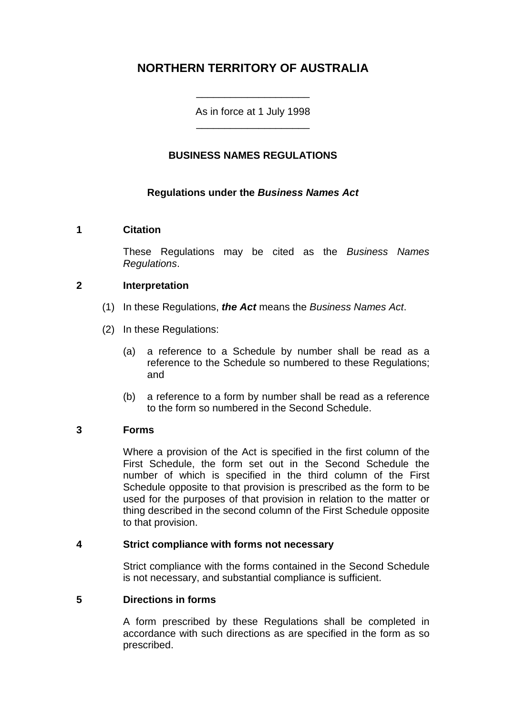# **NORTHERN TERRITORY OF AUSTRALIA**

As in force at 1 July 1998 \_\_\_\_\_\_\_\_\_\_\_\_\_\_\_\_\_\_\_\_

\_\_\_\_\_\_\_\_\_\_\_\_\_\_\_\_\_\_\_\_

#### **BUSINESS NAMES REGULATIONS**

#### **Regulations under the** *Business Names Act*

#### **1 Citation**

These Regulations may be cited as the *Business Names Regulations*.

#### **2 Interpretation**

- (1) In these Regulations, *the Act* means the *Business Names Act*.
- (2) In these Regulations:
	- (a) a reference to a Schedule by number shall be read as a reference to the Schedule so numbered to these Regulations; and
	- (b) a reference to a form by number shall be read as a reference to the form so numbered in the Second Schedule.

#### **3 Forms**

Where a provision of the Act is specified in the first column of the First Schedule, the form set out in the Second Schedule the number of which is specified in the third column of the First Schedule opposite to that provision is prescribed as the form to be used for the purposes of that provision in relation to the matter or thing described in the second column of the First Schedule opposite to that provision.

#### **4 Strict compliance with forms not necessary**

Strict compliance with the forms contained in the Second Schedule is not necessary, and substantial compliance is sufficient.

#### **5 Directions in forms**

A form prescribed by these Regulations shall be completed in accordance with such directions as are specified in the form as so prescribed.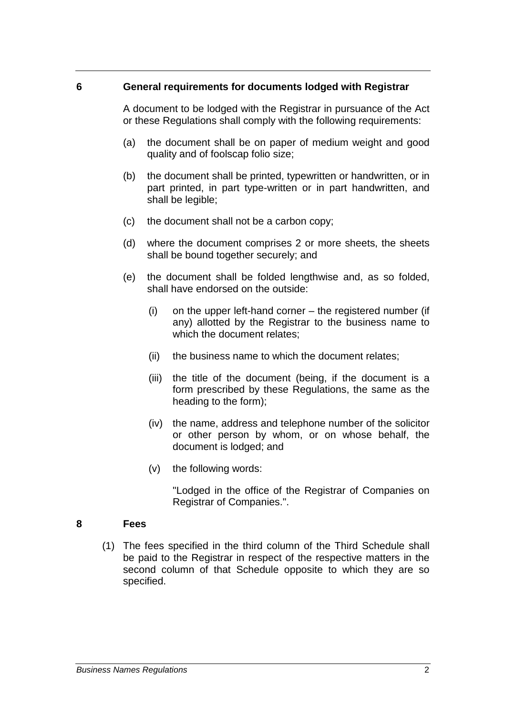#### **6 General requirements for documents lodged with Registrar**

A document to be lodged with the Registrar in pursuance of the Act or these Regulations shall comply with the following requirements:

- (a) the document shall be on paper of medium weight and good quality and of foolscap folio size;
- (b) the document shall be printed, typewritten or handwritten, or in part printed, in part type-written or in part handwritten, and shall be legible;
- (c) the document shall not be a carbon copy;
- (d) where the document comprises 2 or more sheets, the sheets shall be bound together securely; and
- (e) the document shall be folded lengthwise and, as so folded, shall have endorsed on the outside:
	- (i) on the upper left-hand corner the registered number (if any) allotted by the Registrar to the business name to which the document relates;
	- (ii) the business name to which the document relates;
	- (iii) the title of the document (being, if the document is a form prescribed by these Regulations, the same as the heading to the form);
	- (iv) the name, address and telephone number of the solicitor or other person by whom, or on whose behalf, the document is lodged; and
	- (v) the following words:

"Lodged in the office of the Registrar of Companies on Registrar of Companies.".

#### **8 Fees**

(1) The fees specified in the third column of the Third Schedule shall be paid to the Registrar in respect of the respective matters in the second column of that Schedule opposite to which they are so specified.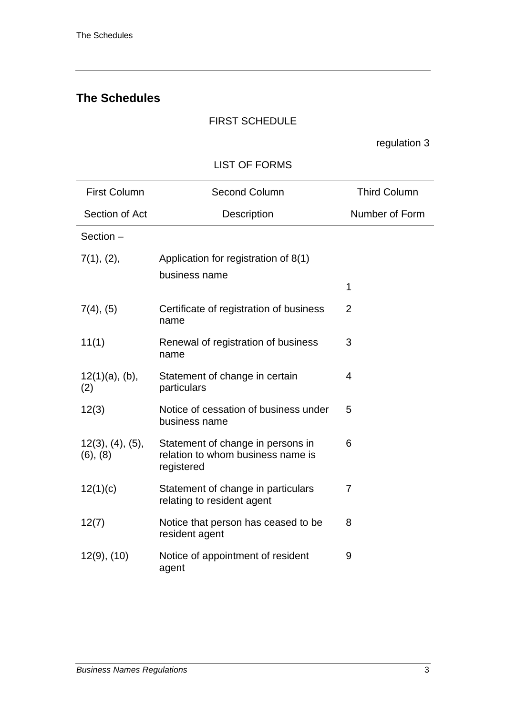# **The Schedules**

## FIRST SCHEDULE

regulation 3

## LIST OF FORMS

| <b>First Column</b>          | <b>Second Column</b>                                                                 | <b>Third Column</b> |
|------------------------------|--------------------------------------------------------------------------------------|---------------------|
| Section of Act               | Description                                                                          | Number of Form      |
| Section -                    |                                                                                      |                     |
| 7(1), (2),                   | Application for registration of 8(1)                                                 |                     |
|                              | business name                                                                        | 1                   |
| $7(4)$ , $(5)$               | Certificate of registration of business<br>name                                      | 2                   |
| 11(1)                        | Renewal of registration of business<br>name                                          | 3                   |
| $12(1)(a)$ , (b),<br>(2)     | Statement of change in certain<br>particulars                                        | 4                   |
| 12(3)                        | Notice of cessation of business under<br>business name                               | 5                   |
| 12(3), (4), (5),<br>(6), (8) | Statement of change in persons in<br>relation to whom business name is<br>registered | 6                   |
| 12(1)(c)                     | Statement of change in particulars<br>relating to resident agent                     | 7                   |
| 12(7)                        | Notice that person has ceased to be<br>resident agent                                | 8                   |
| $12(9)$ , $(10)$             | Notice of appointment of resident<br>agent                                           | 9                   |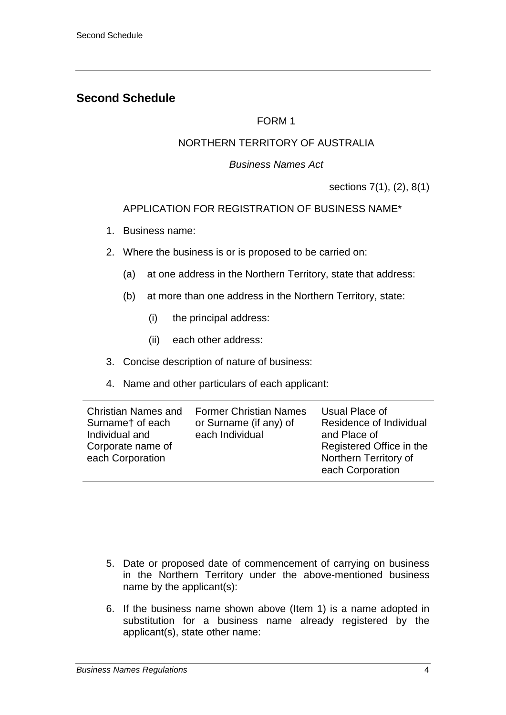## **Second Schedule**

### FORM 1

## NORTHERN TERRITORY OF AUSTRALIA

#### *Business Names Act*

sections 7(1), (2), 8(1)

### APPLICATION FOR REGISTRATION OF BUSINESS NAME\*

- 1. Business name:
- 2. Where the business is or is proposed to be carried on:
	- (a) at one address in the Northern Territory, state that address:
	- (b) at more than one address in the Northern Territory, state:
		- (i) the principal address:
		- (ii) each other address:
- 3. Concise description of nature of business:
- 4. Name and other particulars of each applicant:

- 5. Date or proposed date of commencement of carrying on business in the Northern Territory under the above-mentioned business name by the applicant(s):
- 6. If the business name shown above (Item 1) is a name adopted in substitution for a business name already registered by the applicant(s), state other name: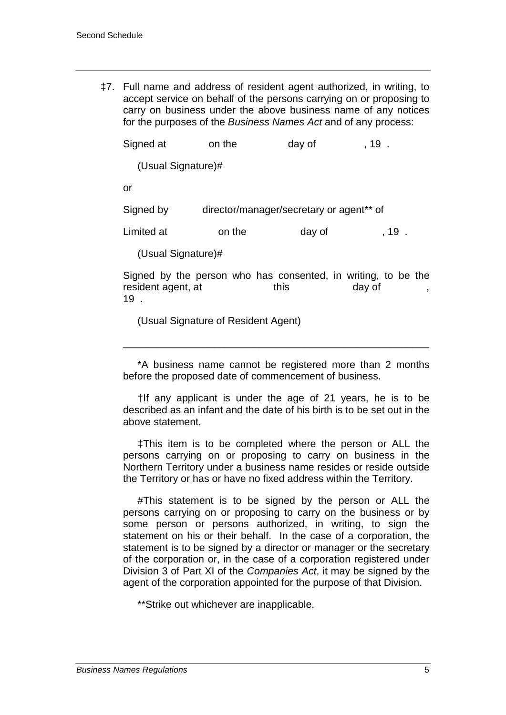‡7. Full name and address of resident agent authorized, in writing, to accept service on behalf of the persons carrying on or proposing to carry on business under the above business name of any notices for the purposes of the *Business Names Act* and of any process:

| Signed at          | on the                                   | day of | ,19 . |
|--------------------|------------------------------------------|--------|-------|
| (Usual Signature)# |                                          |        |       |
| or                 |                                          |        |       |
| Signed by          | director/manager/secretary or agent** of |        |       |
| Limited at         | on the                                   | day of | ,19 . |
| (Usual Signature)# |                                          |        |       |

Signed by the person who has consented, in writing, to be the resident agent, at this day of 19 .

(Usual Signature of Resident Agent)

\*A business name cannot be registered more than 2 months before the proposed date of commencement of business.

\_\_\_\_\_\_\_\_\_\_\_\_\_\_\_\_\_\_\_\_\_\_\_\_\_\_\_\_\_\_\_\_\_\_\_\_\_\_\_\_\_\_\_\_\_\_\_\_\_\_\_\_\_\_

†If any applicant is under the age of 21 years, he is to be described as an infant and the date of his birth is to be set out in the above statement.

‡This item is to be completed where the person or ALL the persons carrying on or proposing to carry on business in the Northern Territory under a business name resides or reside outside the Territory or has or have no fixed address within the Territory.

#This statement is to be signed by the person or ALL the persons carrying on or proposing to carry on the business or by some person or persons authorized, in writing, to sign the statement on his or their behalf. In the case of a corporation, the statement is to be signed by a director or manager or the secretary of the corporation or, in the case of a corporation registered under Division 3 of Part XI of the *Companies Act*, it may be signed by the agent of the corporation appointed for the purpose of that Division.

\*\*Strike out whichever are inapplicable.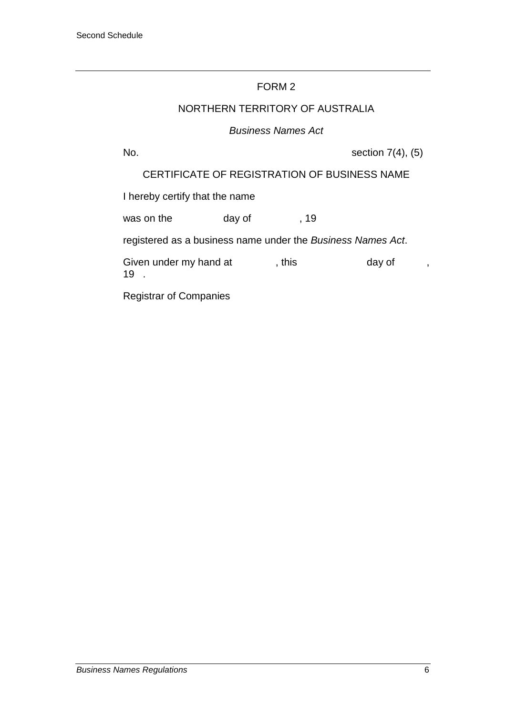### NORTHERN TERRITORY OF AUSTRALIA

#### *Business Names Act*

No.  $\text{Section } 7(4)$ ,  $(5)$ 

CERTIFICATE OF REGISTRATION OF BUSINESS NAME

I hereby certify that the name

was on the day of , 19

registered as a business name under the *Business Names Act*.

Given under my hand at , this day of , 19 .

Registrar of Companies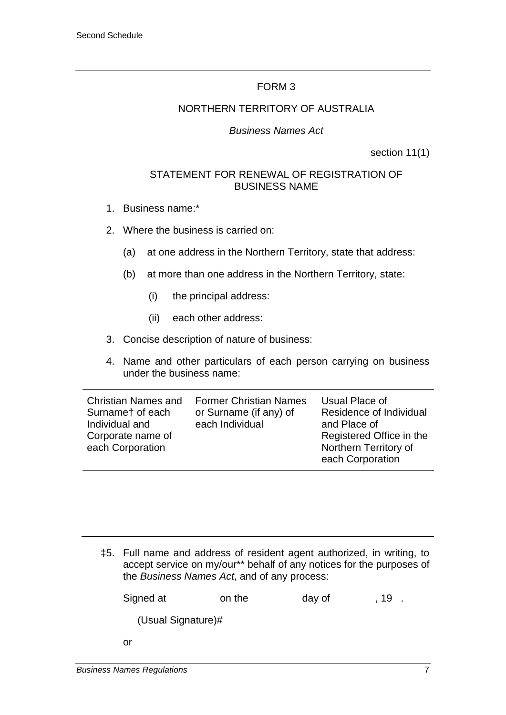## NORTHERN TERRITORY OF AUSTRALIA

### *Business Names Act*

section 11(1)

### STATEMENT FOR RENEWAL OF REGISTRATION OF BUSINESS NAME

- 1. Business name:\*
- 2. Where the business is carried on:
	- (a) at one address in the Northern Territory, state that address:
	- (b) at more than one address in the Northern Territory, state:
		- (i) the principal address:
		- (ii) each other address:
- 3. Concise description of nature of business:
- 4. Name and other particulars of each person carrying on business under the business name:

| Christian Names and                   | <b>Former Christian Names</b> | Usual Place of                                                        |
|---------------------------------------|-------------------------------|-----------------------------------------------------------------------|
| Surnamet of each                      | or Surname (if any) of        | Residence of Individual                                               |
| Individual and                        | each Individual               | and Place of                                                          |
| Corporate name of<br>each Corporation |                               | Registered Office in the<br>Northern Territory of<br>each Corporation |

‡5. Full name and address of resident agent authorized, in writing, to accept service on my/our\*\* behalf of any notices for the purposes of the *Business Names Act*, and of any process:

Signed at on the day of , 19.

(Usual Signature)#

or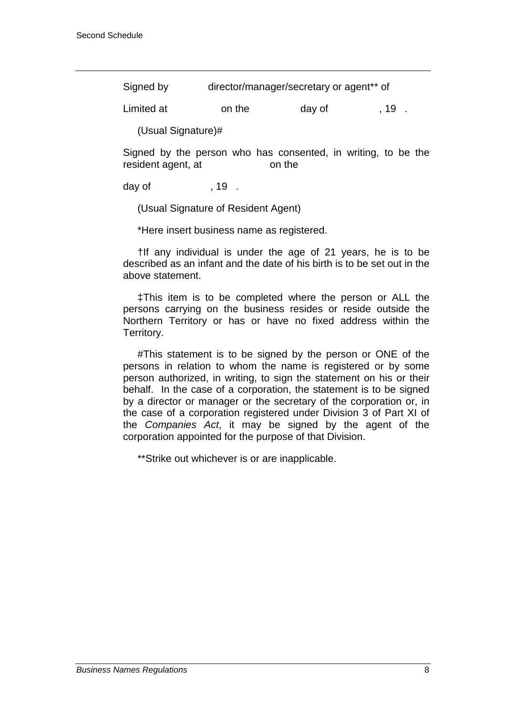| Signed by | director/manager/secretary or agent** of |
|-----------|------------------------------------------|
|-----------|------------------------------------------|

Limited at on the day of , 19.

(Usual Signature)#

Signed by the person who has consented, in writing, to be the resident agent, at on the

day of  $\qquad \qquad$  , 19.

(Usual Signature of Resident Agent)

\*Here insert business name as registered.

†If any individual is under the age of 21 years, he is to be described as an infant and the date of his birth is to be set out in the above statement.

‡This item is to be completed where the person or ALL the persons carrying on the business resides or reside outside the Northern Territory or has or have no fixed address within the Territory.

#This statement is to be signed by the person or ONE of the persons in relation to whom the name is registered or by some person authorized, in writing, to sign the statement on his or their behalf. In the case of a corporation, the statement is to be signed by a director or manager or the secretary of the corporation or, in the case of a corporation registered under Division 3 of Part XI of the *Companies Act*, it may be signed by the agent of the corporation appointed for the purpose of that Division.

\*\*Strike out whichever is or are inapplicable.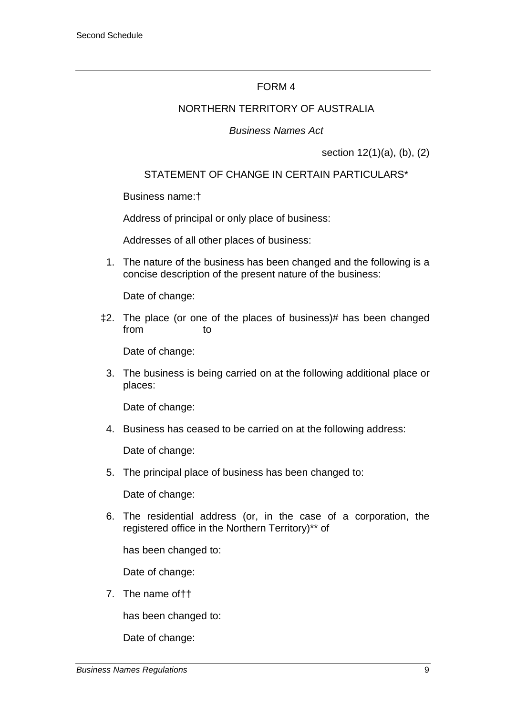#### NORTHERN TERRITORY OF AUSTRALIA

#### *Business Names Act*

section 12(1)(a), (b), (2)

### STATEMENT OF CHANGE IN CERTAIN PARTICULARS\*

Business name:†

Address of principal or only place of business:

Addresses of all other places of business:

1. The nature of the business has been changed and the following is a concise description of the present nature of the business:

Date of change:

‡2. The place (or one of the places of business)# has been changed from to

Date of change:

3. The business is being carried on at the following additional place or places:

Date of change:

4. Business has ceased to be carried on at the following address:

Date of change:

5. The principal place of business has been changed to:

Date of change:

6. The residential address (or, in the case of a corporation, the registered office in the Northern Territory)\*\* of

has been changed to:

Date of change:

7. The name of††

has been changed to:

Date of change: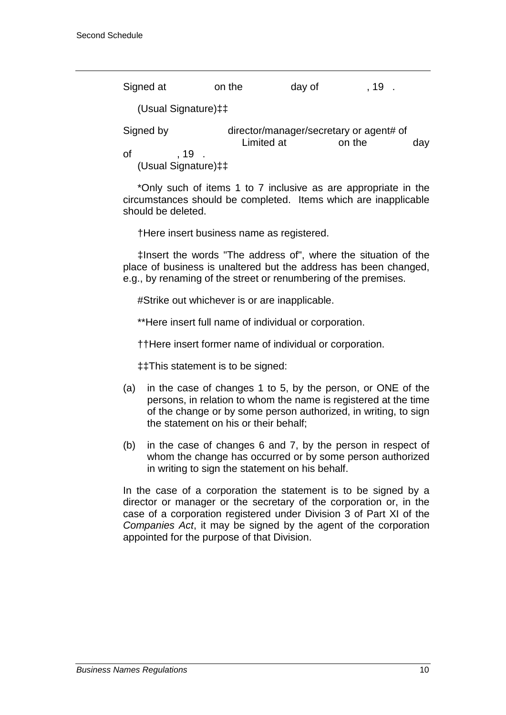| Signed at                                        | on the     | day of | . 19.                                             |     |
|--------------------------------------------------|------------|--------|---------------------------------------------------|-----|
| (Usual Signature) ‡‡                             |            |        |                                                   |     |
| Signed by<br>Οf<br>,19 .<br>(Usual Signature) ‡‡ | Limited at |        | director/manager/secretary or agent# of<br>on the | day |

\*Only such of items 1 to 7 inclusive as are appropriate in the circumstances should be completed. Items which are inapplicable should be deleted.

†Here insert business name as registered.

‡Insert the words "The address of", where the situation of the place of business is unaltered but the address has been changed, e.g., by renaming of the street or renumbering of the premises.

#Strike out whichever is or are inapplicable.

\*\*Here insert full name of individual or corporation.

††Here insert former name of individual or corporation.

‡‡This statement is to be signed:

- (a) in the case of changes 1 to 5, by the person, or ONE of the persons, in relation to whom the name is registered at the time of the change or by some person authorized, in writing, to sign the statement on his or their behalf;
- (b) in the case of changes 6 and 7, by the person in respect of whom the change has occurred or by some person authorized in writing to sign the statement on his behalf.

In the case of a corporation the statement is to be signed by a director or manager or the secretary of the corporation or, in the case of a corporation registered under Division 3 of Part XI of the *Companies Act*, it may be signed by the agent of the corporation appointed for the purpose of that Division.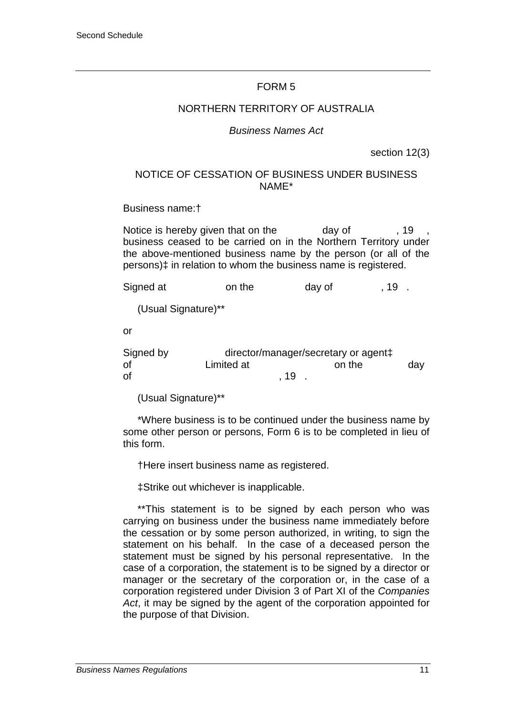#### NORTHERN TERRITORY OF AUSTRALIA

#### *Business Names Act*

section 12(3)

#### NOTICE OF CESSATION OF BUSINESS UNDER BUSINESS NAME\*

Business name:†

Notice is hereby given that on the day of  $\sim$ , 19 business ceased to be carried on in the Northern Territory under the above-mentioned business name by the person (or all of the persons)‡ in relation to whom the business name is registered.

Signed at on the day of , 19. (Usual Signature)\*\* or Signed by director/manager/secretary or agent‡ of Climited at Conthe day of  $\,$ , 19  $\,$ , 19  $\,$ 

(Usual Signature)\*\*

\*Where business is to be continued under the business name by some other person or persons, Form 6 is to be completed in lieu of this form.

†Here insert business name as registered.

‡Strike out whichever is inapplicable.

\*\*This statement is to be signed by each person who was carrying on business under the business name immediately before the cessation or by some person authorized, in writing, to sign the statement on his behalf. In the case of a deceased person the statement must be signed by his personal representative. In the case of a corporation, the statement is to be signed by a director or manager or the secretary of the corporation or, in the case of a corporation registered under Division 3 of Part XI of the *Companies Act*, it may be signed by the agent of the corporation appointed for the purpose of that Division.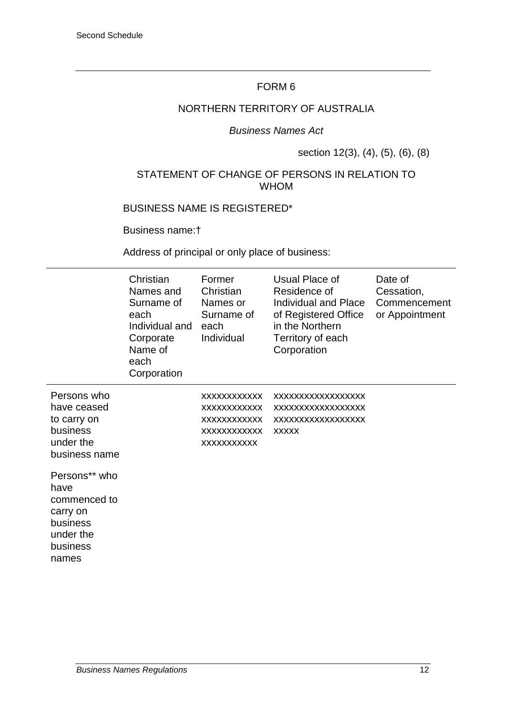## NORTHERN TERRITORY OF AUSTRALIA

#### *Business Names Act*

### section 12(3), (4), (5), (6), (8)

### STATEMENT OF CHANGE OF PERSONS IN RELATION TO WHOM

#### BUSINESS NAME IS REGISTERED\*

Business name:†

Address of principal or only place of business:

|                                                                                                 | Christian<br>Names and<br>Surname of<br>each<br>Individual and<br>Corporate<br>Name of<br>each<br>Corporation | Former<br>Christian<br>Names or<br>Surname of<br>each<br>Individual                             | Usual Place of<br>Residence of<br>Individual and Place<br>of Registered Office<br>in the Northern<br>Territory of each<br>Corporation | Date of<br>Cessation,<br>Commencement<br>or Appointment |
|-------------------------------------------------------------------------------------------------|---------------------------------------------------------------------------------------------------------------|-------------------------------------------------------------------------------------------------|---------------------------------------------------------------------------------------------------------------------------------------|---------------------------------------------------------|
| Persons who<br>have ceased<br>to carry on<br>business<br>under the<br>business name             |                                                                                                               | XXXXXXXXXXX<br>XXXXXXXXXXXX<br><b>XXXXXXXXXXXX</b><br><b>XXXXXXXXXXXX</b><br><b>XXXXXXXXXXX</b> | XXXXXXXXXXXXXXXXX<br>XXXXXXXXXXXXXXXXX<br>XXXXXXXXXXXXXXXXX<br><b>XXXXX</b>                                                           |                                                         |
| Persons** who<br>have<br>commenced to<br>carry on<br>business<br>under the<br>business<br>names |                                                                                                               |                                                                                                 |                                                                                                                                       |                                                         |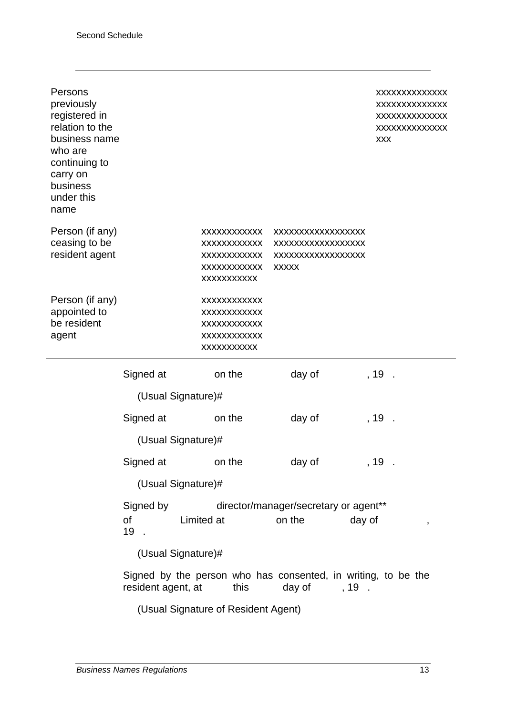| Persons<br>previously<br>registered in<br>relation to the<br>business name<br>who are<br>continuing to<br>carry on<br>business<br>under this<br>name |                    |                                                                                                             |                                                                             | XXXXXXXXXXXXX<br>XXXXXXXXXXXXX<br>XXXXXXXXXXXXX<br>XXXXXXXXXXXXX<br><b>XXX</b> |
|------------------------------------------------------------------------------------------------------------------------------------------------------|--------------------|-------------------------------------------------------------------------------------------------------------|-----------------------------------------------------------------------------|--------------------------------------------------------------------------------|
| Person (if any)<br>ceasing to be<br>resident agent                                                                                                   |                    | <b>XXXXXXXXXXX</b><br><b>XXXXXXXXXXX</b><br><b>XXXXXXXXXXX</b><br><b>XXXXXXXXXXXX</b><br><b>XXXXXXXXXXX</b> | XXXXXXXXXXXXXXXXX<br>XXXXXXXXXXXXXXXXX<br>XXXXXXXXXXXXXXXXX<br><b>XXXXX</b> |                                                                                |
| Person (if any)<br>appointed to<br>be resident<br>agent                                                                                              |                    | XXXXXXXXXXXX<br><b>XXXXXXXXXXXX</b><br><b>XXXXXXXXXXXX</b><br><b>XXXXXXXXXXXX</b><br>XXXXXXXXXX             |                                                                             |                                                                                |
|                                                                                                                                                      | Signed at          | on the                                                                                                      | day of                                                                      | $, 19$ .                                                                       |
|                                                                                                                                                      | (Usual Signature)# |                                                                                                             |                                                                             |                                                                                |
|                                                                                                                                                      | Signed at          | on the                                                                                                      | day of                                                                      | , 19                                                                           |
|                                                                                                                                                      | (Usual Signature)# |                                                                                                             |                                                                             |                                                                                |
|                                                                                                                                                      | Signed at          | on the                                                                                                      | day of                                                                      | $, 19$ .                                                                       |
|                                                                                                                                                      | (Usual Signature)# |                                                                                                             |                                                                             |                                                                                |
|                                                                                                                                                      | Signed by          |                                                                                                             | director/manager/secretary or agent**                                       |                                                                                |
|                                                                                                                                                      | of<br>19.          | Limited at                                                                                                  | on the                                                                      | day of<br>,                                                                    |
|                                                                                                                                                      | (Usual Signature)# |                                                                                                             |                                                                             |                                                                                |
|                                                                                                                                                      | resident agent, at | this                                                                                                        | Signed by the person who has consented, in writing, to be the<br>day of     | $, 19$ .                                                                       |
|                                                                                                                                                      |                    | (Usual Signature of Resident Agent)                                                                         |                                                                             |                                                                                |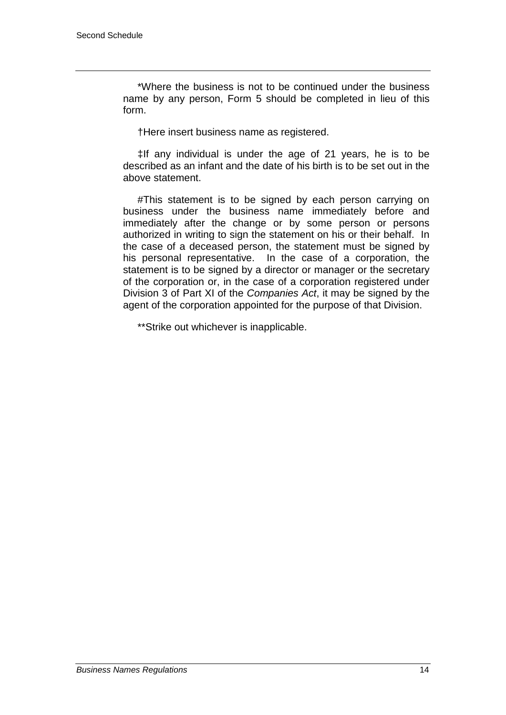\*Where the business is not to be continued under the business name by any person, Form 5 should be completed in lieu of this form.

†Here insert business name as registered.

‡If any individual is under the age of 21 years, he is to be described as an infant and the date of his birth is to be set out in the above statement.

#This statement is to be signed by each person carrying on business under the business name immediately before and immediately after the change or by some person or persons authorized in writing to sign the statement on his or their behalf. In the case of a deceased person, the statement must be signed by his personal representative. In the case of a corporation, the statement is to be signed by a director or manager or the secretary of the corporation or, in the case of a corporation registered under Division 3 of Part XI of the *Companies Act*, it may be signed by the agent of the corporation appointed for the purpose of that Division.

\*\*Strike out whichever is inapplicable.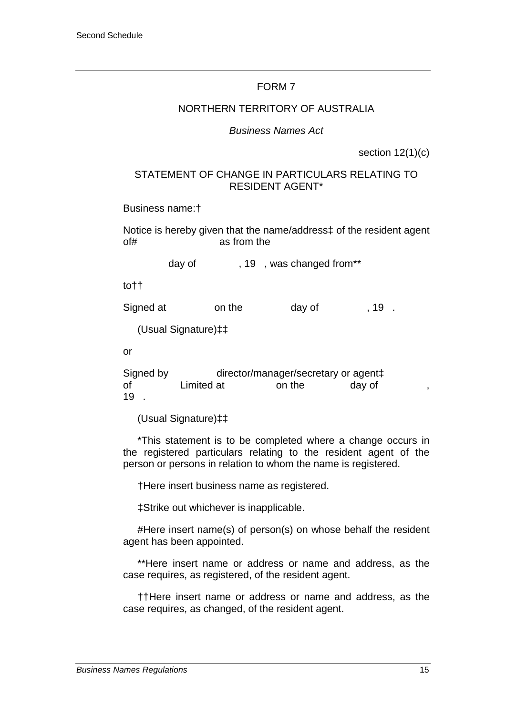#### NORTHERN TERRITORY OF AUSTRALIA

#### *Business Names Act*

section 12(1)(c)

#### STATEMENT OF CHANGE IN PARTICULARS RELATING TO RESIDENT AGENT\*

Business name:†

Notice is hereby given that the name/address‡ of the resident agent of# as from the

day of  $19$ , was changed from\*\*

to††

Signed at on the day of , 19.

(Usual Signature)‡‡

or

Signed by director/manager/secretary or agent‡<br>of Limited at on the day of Limited at 19 .

(Usual Signature)‡‡

\*This statement is to be completed where a change occurs in the registered particulars relating to the resident agent of the person or persons in relation to whom the name is registered.

†Here insert business name as registered.

‡Strike out whichever is inapplicable.

#Here insert name(s) of person(s) on whose behalf the resident agent has been appointed.

\*\*Here insert name or address or name and address, as the case requires, as registered, of the resident agent.

††Here insert name or address or name and address, as the case requires, as changed, of the resident agent.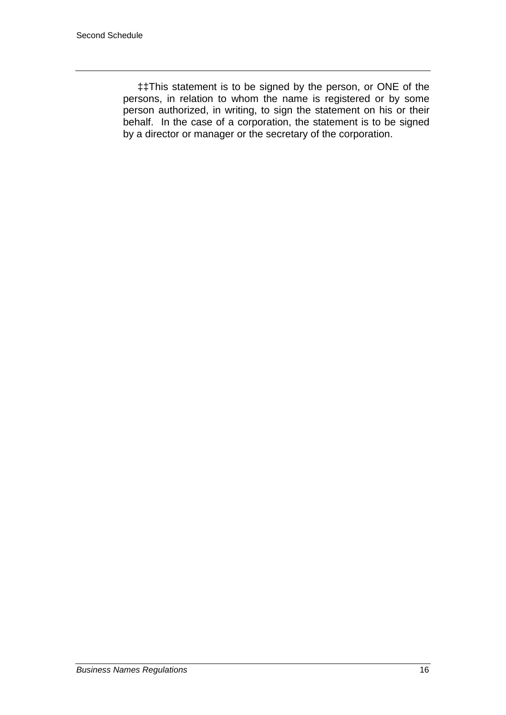‡‡This statement is to be signed by the person, or ONE of the persons, in relation to whom the name is registered or by some person authorized, in writing, to sign the statement on his or their behalf. In the case of a corporation, the statement is to be signed by a director or manager or the secretary of the corporation.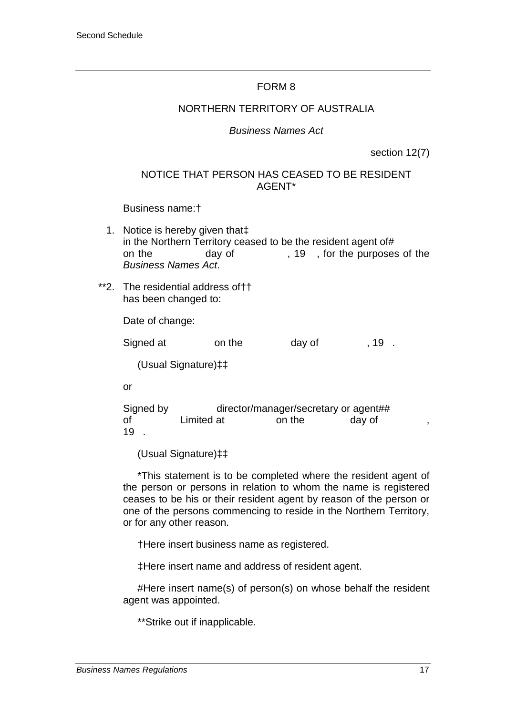#### NORTHERN TERRITORY OF AUSTRALIA

#### *Business Names Act*

section 12(7)

### NOTICE THAT PERSON HAS CEASED TO BE RESIDENT AGENT\*

#### Business name:†

- 1. Notice is hereby given that‡ in the Northern Territory ceased to be the resident agent of# on the day of , 19, for the purposes of the *Business Names Act*.
- \*\*2. The residential address of†† has been changed to:

Date of change:

Signed at on the day of , 19.

(Usual Signature)‡‡

or

Signed by director/manager/secretary or agent## of Limited at on the day of 19 .

(Usual Signature)‡‡

\*This statement is to be completed where the resident agent of the person or persons in relation to whom the name is registered ceases to be his or their resident agent by reason of the person or one of the persons commencing to reside in the Northern Territory, or for any other reason.

†Here insert business name as registered.

‡Here insert name and address of resident agent.

#Here insert name(s) of person(s) on whose behalf the resident agent was appointed.

\*\*Strike out if inapplicable.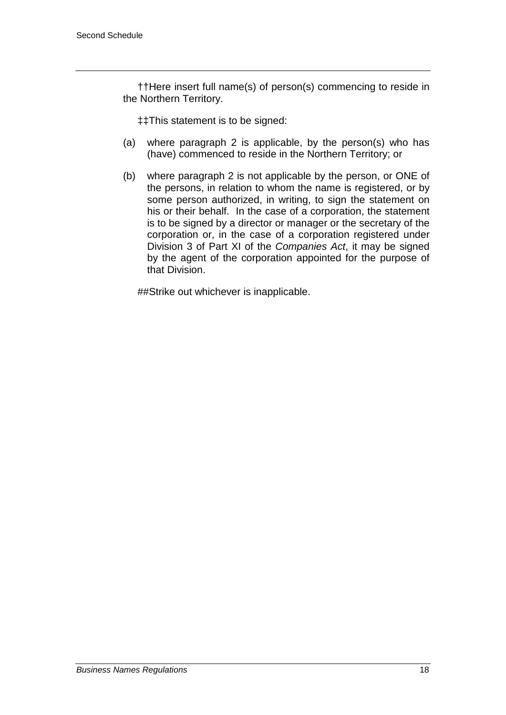††Here insert full name(s) of person(s) commencing to reside in the Northern Territory.

‡‡This statement is to be signed:

- (a) where paragraph 2 is applicable, by the person(s) who has (have) commenced to reside in the Northern Territory; or
- (b) where paragraph 2 is not applicable by the person, or ONE of the persons, in relation to whom the name is registered, or by some person authorized, in writing, to sign the statement on his or their behalf. In the case of a corporation, the statement is to be signed by a director or manager or the secretary of the corporation or, in the case of a corporation registered under Division 3 of Part XI of the *Companies Act*, it may be signed by the agent of the corporation appointed for the purpose of that Division.

##Strike out whichever is inapplicable.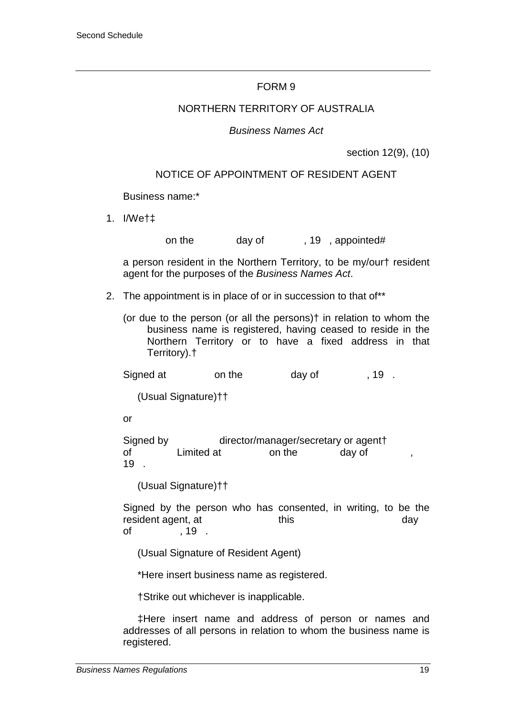#### NORTHERN TERRITORY OF AUSTRALIA

#### *Business Names Act*

section 12(9), (10)

#### NOTICE OF APPOINTMENT OF RESIDENT AGENT

Business name:\*

- 1. I/We†‡
- on the day of , 19, appointed#

a person resident in the Northern Territory, to be my/our† resident agent for the purposes of the *Business Names Act*.

- 2. The appointment is in place of or in succession to that of\*\*
	- (or due to the person (or all the persons)† in relation to whom the business name is registered, having ceased to reside in the Northern Territory or to have a fixed address in that Territory).†

Signed at on the day of , 19.

(Usual Signature)††

or

Signed by director/manager/secretary or agent† of Limited at on the day of 19 .

(Usual Signature)††

Signed by the person who has consented, in writing, to be the resident agent, at this this day of , 19 .

(Usual Signature of Resident Agent)

\*Here insert business name as registered.

†Strike out whichever is inapplicable.

‡Here insert name and address of person or names and addresses of all persons in relation to whom the business name is registered.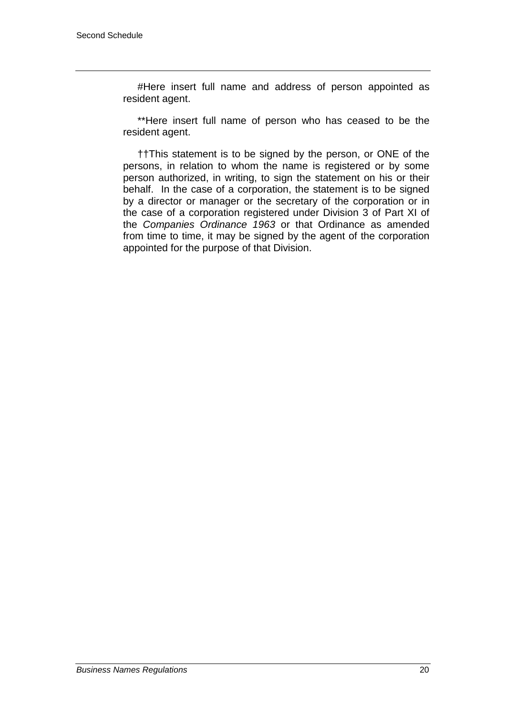#Here insert full name and address of person appointed as resident agent.

\*\*Here insert full name of person who has ceased to be the resident agent.

††This statement is to be signed by the person, or ONE of the persons, in relation to whom the name is registered or by some person authorized, in writing, to sign the statement on his or their behalf. In the case of a corporation, the statement is to be signed by a director or manager or the secretary of the corporation or in the case of a corporation registered under Division 3 of Part XI of the *Companies Ordinance 1963* or that Ordinance as amended from time to time, it may be signed by the agent of the corporation appointed for the purpose of that Division.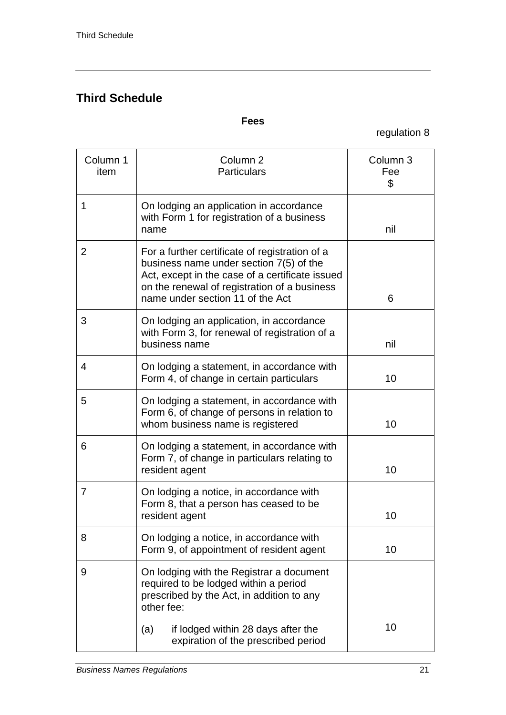# **Third Schedule**

### **Fees**

regulation 8

| Column 1<br>item | Column <sub>2</sub><br><b>Particulars</b>                                                                                                                                                                                        | Column 3<br>Fee<br>\$ |
|------------------|----------------------------------------------------------------------------------------------------------------------------------------------------------------------------------------------------------------------------------|-----------------------|
| 1                | On lodging an application in accordance<br>with Form 1 for registration of a business<br>name                                                                                                                                    | nil                   |
| $\overline{2}$   | For a further certificate of registration of a<br>business name under section 7(5) of the<br>Act, except in the case of a certificate issued<br>on the renewal of registration of a business<br>name under section 11 of the Act | 6                     |
| 3                | On lodging an application, in accordance<br>with Form 3, for renewal of registration of a<br>business name                                                                                                                       | nil                   |
| 4                | On lodging a statement, in accordance with<br>Form 4, of change in certain particulars                                                                                                                                           | 10                    |
| 5                | On lodging a statement, in accordance with<br>Form 6, of change of persons in relation to<br>whom business name is registered                                                                                                    | 10                    |
| 6                | On lodging a statement, in accordance with<br>Form 7, of change in particulars relating to<br>resident agent                                                                                                                     | 10                    |
| 7                | On lodging a notice, in accordance with<br>Form 8, that a person has ceased to be<br>resident agent                                                                                                                              | 10                    |
| 8                | On lodging a notice, in accordance with<br>Form 9, of appointment of resident agent                                                                                                                                              | 10                    |
| 9                | On lodging with the Registrar a document<br>required to be lodged within a period<br>prescribed by the Act, in addition to any<br>other fee:                                                                                     |                       |
|                  | (a)<br>if lodged within 28 days after the<br>expiration of the prescribed period                                                                                                                                                 | 10                    |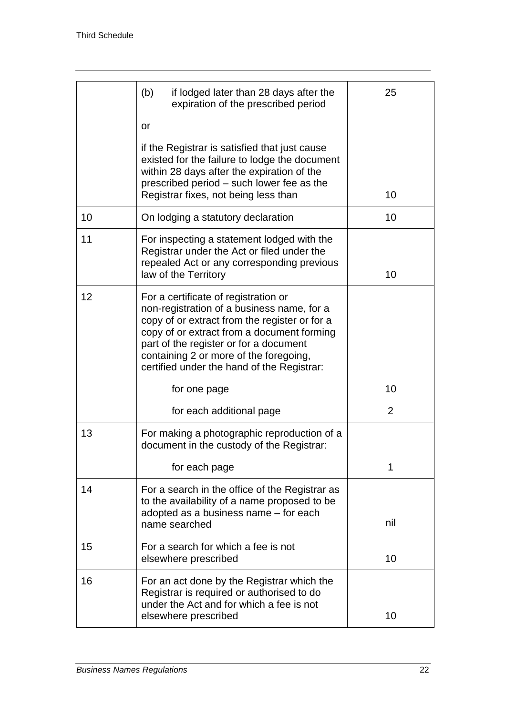|    | (b)<br>if lodged later than 28 days after the<br>expiration of the prescribed period                                                                                                                                                                                                                                | 25  |
|----|---------------------------------------------------------------------------------------------------------------------------------------------------------------------------------------------------------------------------------------------------------------------------------------------------------------------|-----|
|    | or                                                                                                                                                                                                                                                                                                                  |     |
|    | if the Registrar is satisfied that just cause<br>existed for the failure to lodge the document<br>within 28 days after the expiration of the<br>prescribed period - such lower fee as the<br>Registrar fixes, not being less than                                                                                   | 10  |
| 10 | On lodging a statutory declaration                                                                                                                                                                                                                                                                                  | 10  |
| 11 | For inspecting a statement lodged with the<br>Registrar under the Act or filed under the<br>repealed Act or any corresponding previous<br>law of the Territory                                                                                                                                                      | 10  |
| 12 | For a certificate of registration or<br>non-registration of a business name, for a<br>copy of or extract from the register or for a<br>copy of or extract from a document forming<br>part of the register or for a document<br>containing 2 or more of the foregoing,<br>certified under the hand of the Registrar: |     |
|    | for one page                                                                                                                                                                                                                                                                                                        | 10  |
|    | for each additional page                                                                                                                                                                                                                                                                                            | 2   |
| 13 | For making a photographic reproduction of a<br>document in the custody of the Registrar:                                                                                                                                                                                                                            |     |
|    | for each page                                                                                                                                                                                                                                                                                                       | 1   |
| 14 | For a search in the office of the Registrar as<br>to the availability of a name proposed to be<br>adopted as a business name - for each                                                                                                                                                                             |     |
|    | name searched                                                                                                                                                                                                                                                                                                       | nil |
| 15 | For a search for which a fee is not<br>elsewhere prescribed                                                                                                                                                                                                                                                         | 10  |
| 16 | For an act done by the Registrar which the<br>Registrar is required or authorised to do<br>under the Act and for which a fee is not                                                                                                                                                                                 |     |
|    | elsewhere prescribed                                                                                                                                                                                                                                                                                                | 10  |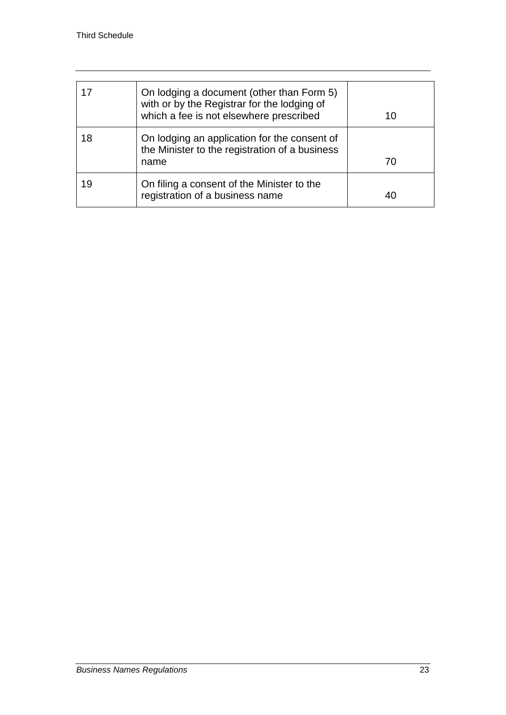| 17 | On lodging a document (other than Form 5)<br>with or by the Registrar for the lodging of<br>which a fee is not elsewhere prescribed | 10 |
|----|-------------------------------------------------------------------------------------------------------------------------------------|----|
| 18 | On lodging an application for the consent of<br>the Minister to the registration of a business<br>name                              | 70 |
| 19 | On filing a consent of the Minister to the<br>registration of a business name                                                       | 40 |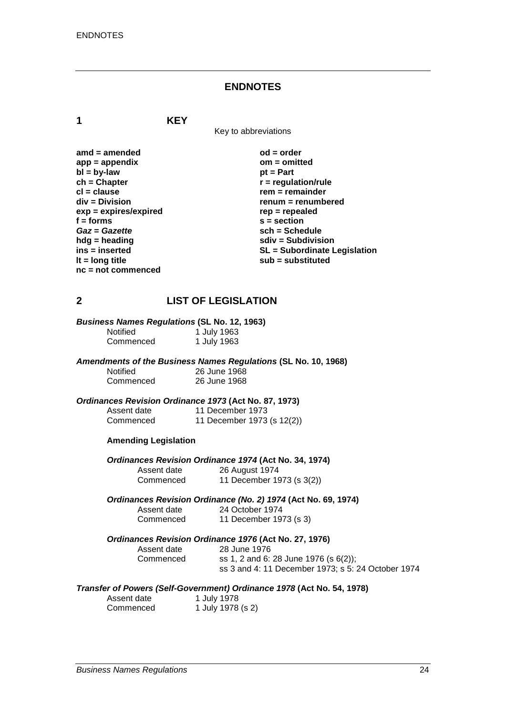#### **ENDNOTES**

**1 KEY**

Key to abbreviations

| amd = amended           |
|-------------------------|
| $app = appendix$        |
| $bl = by-law$           |
| $ch = Chapter$          |
| cl = clause             |
| div = Division          |
| $exp = expires/expired$ |
| f = forms               |
| Gaz = Gazette           |
| hdg = heading           |
| ins = inserted          |
| It = $long$ title       |
| nc = not commenced      |
|                         |

 $od = order$ **app = appendix om = omitted pt = Part**  $\mathbf{r}$  = regulation/rule **cl = clause rem = remainder div = Division renum = renumbered exp = expires/expired rep = repealed f = forms s = section** *Gaz* **=** *Gazette* **sch = Schedule hdg = heading sdiv = Subdivision ins = inserted SL = Subordinate Legislation lt = long title sub = substituted**

#### **2 LIST OF LEGISLATION**

*Business Names Regulations* **(SL No. 12, 1963)**

| <b>Notified</b> | 1 July 1963 |
|-----------------|-------------|
| Commenced       | 1 July 1963 |

*Amendments of the Business Names Regulations* **(SL No. 10, 1968)** 26 June 1968

| Commenced | 26 June 1968 |
|-----------|--------------|
|           |              |

*Ordinances Revision Ordinance 1973* **(Act No. 87, 1973)**

| Assent date | 11 December 1973           |
|-------------|----------------------------|
| Commenced   | 11 December 1973 (s 12(2)) |

#### **Amending Legislation**

*Ordinances Revision Ordinance 1974* **(Act No. 34, 1974)** Assent date 26 August 1974<br>Commenced 11 December 19 11 December 1973 (s 3(2))

*Ordinances Revision Ordinance (No. 2) 1974* **(Act No. 69, 1974)**

Assent date 24 October 1974<br>Commenced 11 December 19 11 December 1973 (s 3)

#### *Ordinances Revision Ordinance 1976* **(Act No. 27, 1976)**

| Assent date | 28 June 1976                                       |
|-------------|----------------------------------------------------|
| Commenced   | ss 1, 2 and 6: 28 June 1976 (s $6(2)$ );           |
|             | ss 3 and 4: 11 December 1973; s 5: 24 October 1974 |

#### *Transfer of Powers (Self-Government) Ordinance 1978* **(Act No. 54, 1978)**

| Assent date | 1 July 1978       |
|-------------|-------------------|
| Commenced   | 1 July 1978 (s 2) |